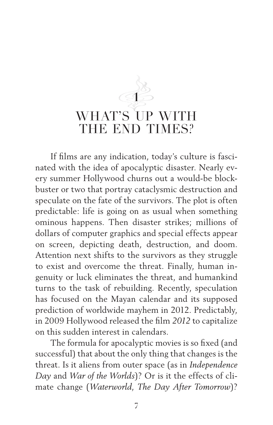## **1** WHAT'S UP WITH THE END TIMES?

If films are any indication, today's culture is fascinated with the idea of apocalyptic disaster. Nearly every summer Hollywood churns out a would-be blockbuster or two that portray cataclysmic destruction and speculate on the fate of the survivors. The plot is often predictable: life is going on as usual when something ominous happens. Then disaster strikes; millions of dollars of computer graphics and special effects appear on screen, depicting death, destruction, and doom. Attention next shifts to the survivors as they struggle to exist and overcome the threat. Finally, human ingenuity or luck eliminates the threat, and humankind turns to the task of rebuilding. Recently, speculation has focused on the Mayan calendar and its supposed prediction of worldwide mayhem in 2012. Predictably, in 2009 Hollywood released the film *2012* to capitalize on this sudden interest in calendars.

The formula for apocalyptic movies is so fixed (and successful) that about the only thing that changes is the threat. Is it aliens from outer space (as in *Independence Day* and *War of the Worlds*)? Or is it the effects of climate change (*Waterworld*, *The Day After Tomorrow*)?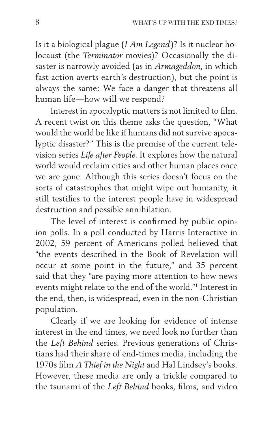Is it a biological plague (*I Am Legend*)? Is it nuclear holocaust (the *Terminator* movies)? Occasionally the disaster is narrowly avoided (as in *Armageddon*, in which fast action averts earth's destruction), but the point is always the same: We face a danger that threatens all human life—how will we respond?

Interest in apocalyptic matters is not limited to film. A recent twist on this theme asks the question, "What would the world be like if humans did not survive apocalyptic disaster?" This is the premise of the current television series *Life after People*. It explores how the natural world would reclaim cities and other human places once we are gone. Although this series doesn't focus on the sorts of catastrophes that might wipe out humanity, it still testifies to the interest people have in widespread destruction and possible annihilation.

The level of interest is confirmed by public opinion polls. In a poll conducted by Harris Interactive in 2002, 59 percent of Americans polled believed that "the events described in the Book of Revelation will occur at some point in the future," and 35 percent said that they "are paying more attention to how news events might relate to the end of the world."1 Interest in the end, then, is widespread, even in the non-Christian population.

Clearly if we are looking for evidence of intense interest in the end times, we need look no further than the *Left Behind* series. Previous generations of Christians had their share of end-times media, including the 1970s film *A Thief in the Night* and Hal Lindsey's books. However, these media are only a trickle compared to the tsunami of the *Left Behind* books, films, and video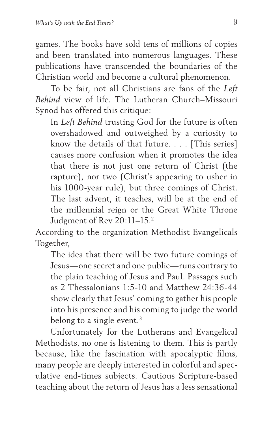games. The books have sold tens of millions of copies and been translated into numerous languages. These publications have transcended the boundaries of the Christian world and become a cultural phenomenon.

To be fair, not all Christians are fans of the *Left Behind* view of life. The Lutheran Church–Missouri Synod has offered this critique:

In *Left Behind* trusting God for the future is often overshadowed and outweighed by a curiosity to know the details of that future. . . . [This series] causes more confusion when it promotes the idea that there is not just one return of Christ (the rapture), nor two (Christ's appearing to usher in his 1000-year rule), but three comings of Christ. The last advent, it teaches, will be at the end of the millennial reign or the Great White Throne Judgment of Rev 20:11–15.2

According to the organization Methodist Evangelicals Together,

The idea that there will be two future comings of Jesus—one secret and one public—runs contrary to the plain teaching of Jesus and Paul. Passages such as 2 Thessalonians 1:5-10 and Matthew 24:36-44 show clearly that Jesus' coming to gather his people into his presence and his coming to judge the world belong to a single event.<sup>3</sup>

Unfortunately for the Lutherans and Evangelical Methodists, no one is listening to them. This is partly because, like the fascination with apocalyptic films, many people are deeply interested in colorful and speculative end-times subjects. Cautious Scripture-based teaching about the return of Jesus has a less sensational